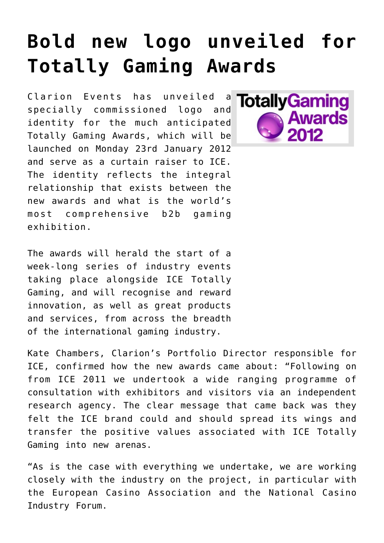## **[Bold new logo unveiled for](https://www.isa-guide.de/english-news/articles/33822.html) [Totally Gaming Awards](https://www.isa-guide.de/english-news/articles/33822.html)**

Clarion Events has unveiled a specially commissioned logo and identity for the much anticipated Totally Gaming Awards, which will be launched on Monday 23rd January 2012 and serve as a curtain raiser to ICE. The identity reflects the integral relationship that exists between the new awards and what is the world's most comprehensive b2b gaming exhibition.



The awards will herald the start of a week-long series of industry events taking place alongside ICE Totally Gaming, and will recognise and reward innovation, as well as great products and services, from across the breadth of the international gaming industry.

Kate Chambers, Clarion's Portfolio Director responsible for ICE, confirmed how the new awards came about: "Following on from ICE 2011 we undertook a wide ranging programme of consultation with exhibitors and visitors via an independent research agency. The clear message that came back was they felt the ICE brand could and should spread its wings and transfer the positive values associated with ICE Totally Gaming into new arenas.

"As is the case with everything we undertake, we are working closely with the industry on the project, in particular with the European Casino Association and the National Casino Industry Forum.